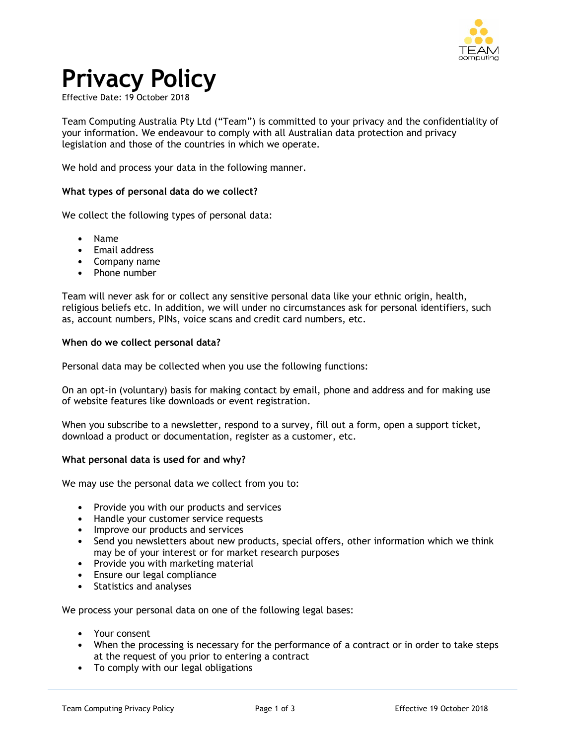

# **Privacy Policy**

Effective Date: 19 October 2018

Team Computing Australia Pty Ltd ("Team") is committed to your privacy and the confidentiality of your information. We endeavour to comply with all Australian data protection and privacy legislation and those of the countries in which we operate.

We hold and process your data in the following manner.

#### **What types of personal data do we collect?**

We collect the following types of personal data:

- Name
- Email address
- Company name
- Phone number

Team will never ask for or collect any sensitive personal data like your ethnic origin, health, religious beliefs etc. In addition, we will under no circumstances ask for personal identifiers, such as, account numbers, PINs, voice scans and credit card numbers, etc.

#### **When do we collect personal data?**

Personal data may be collected when you use the following functions:

On an opt-in (voluntary) basis for making contact by email, phone and address and for making use of website features like downloads or event registration.

When you subscribe to a newsletter, respond to a survey, fill out a form, open a support ticket, download a product or documentation, register as a customer, etc.

# **What personal data is used for and why?**

We may use the personal data we collect from you to:

- Provide you with our products and services
- Handle your customer service requests
- Improve our products and services
- Send you newsletters about new products, special offers, other information which we think may be of your interest or for market research purposes
- Provide you with marketing material
- Ensure our legal compliance
- Statistics and analyses

We process your personal data on one of the following legal bases:

- Your consent
- When the processing is necessary for the performance of a contract or in order to take steps at the request of you prior to entering a contract
- To comply with our legal obligations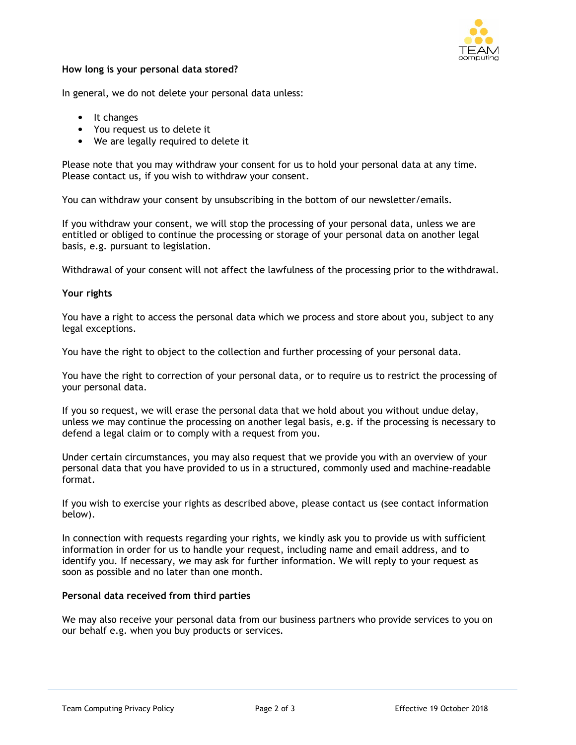

# **How long is your personal data stored?**

In general, we do not delete your personal data unless:

- It changes
- You request us to delete it
- We are legally required to delete it

Please note that you may withdraw your consent for us to hold your personal data at any time. Please contact us, if you wish to withdraw your consent.

You can withdraw your consent by unsubscribing in the bottom of our newsletter/emails.

If you withdraw your consent, we will stop the processing of your personal data, unless we are entitled or obliged to continue the processing or storage of your personal data on another legal basis, e.g. pursuant to legislation.

Withdrawal of your consent will not affect the lawfulness of the processing prior to the withdrawal.

# **Your rights**

You have a right to access the personal data which we process and store about you, subject to any legal exceptions.

You have the right to object to the collection and further processing of your personal data.

You have the right to correction of your personal data, or to require us to restrict the processing of your personal data.

If you so request, we will erase the personal data that we hold about you without undue delay, unless we may continue the processing on another legal basis, e.g. if the processing is necessary to defend a legal claim or to comply with a request from you.

Under certain circumstances, you may also request that we provide you with an overview of your personal data that you have provided to us in a structured, commonly used and machine-readable format.

If you wish to exercise your rights as described above, please contact us (see contact information below).

In connection with requests regarding your rights, we kindly ask you to provide us with sufficient information in order for us to handle your request, including name and email address, and to identify you. If necessary, we may ask for further information. We will reply to your request as soon as possible and no later than one month.

#### **Personal data received from third parties**

We may also receive your personal data from our business partners who provide services to you on our behalf e.g. when you buy products or services.